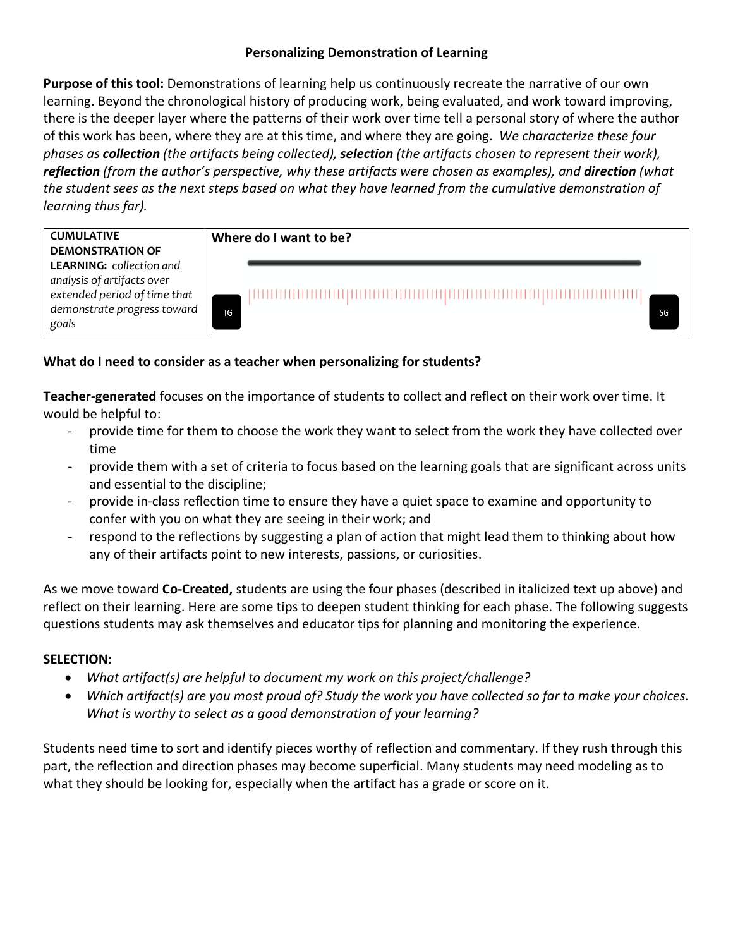# **Personalizing Demonstration of Learning**

**Purpose of this tool:** Demonstrations of learning help us continuously recreate the narrative of our own learning. Beyond the chronological history of producing work, being evaluated, and work toward improving, there is the deeper layer where the patterns of their work over time tell a personal story of where the author of this work has been, where they are at this time, and where they are going. *We characterize these four phases as collection (the artifacts being collected), selection (the artifacts chosen to represent their work), reflection (from the author's perspective, why these artifacts were chosen as examples), and direction (what the student sees as the next steps based on what they have learned from the cumulative demonstration of learning thus far).*

# **CUMULATIVE DEMONSTRATION OF LEARNING:** *collection and*

*analysis of artifacts over extended period of time that demonstrate progress toward goals*

# **Where do I want to be?**

SG

# **What do I need to consider as a teacher when personalizing for students?**

TG

**Teacher-generated** focuses on the importance of students to collect and reflect on their work over time. It would be helpful to:

- provide time for them to choose the work they want to select from the work they have collected over time
- provide them with a set of criteria to focus based on the learning goals that are significant across units and essential to the discipline;
- provide in-class reflection time to ensure they have a quiet space to examine and opportunity to confer with you on what they are seeing in their work; and
- respond to the reflections by suggesting a plan of action that might lead them to thinking about how any of their artifacts point to new interests, passions, or curiosities.

As we move toward **Co-Created,** students are using the four phases (described in italicized text up above) and reflect on their learning. Here are some tips to deepen student thinking for each phase. The following suggests questions students may ask themselves and educator tips for planning and monitoring the experience.

## **SELECTION:**

- *What artifact(s) are helpful to document my work on this project/challenge?*
- *Which artifact(s) are you most proud of? Study the work you have collected so far to make your choices. What is worthy to select as a good demonstration of your learning?*

Students need time to sort and identify pieces worthy of reflection and commentary. If they rush through this part, the reflection and direction phases may become superficial. Many students may need modeling as to what they should be looking for, especially when the artifact has a grade or score on it.